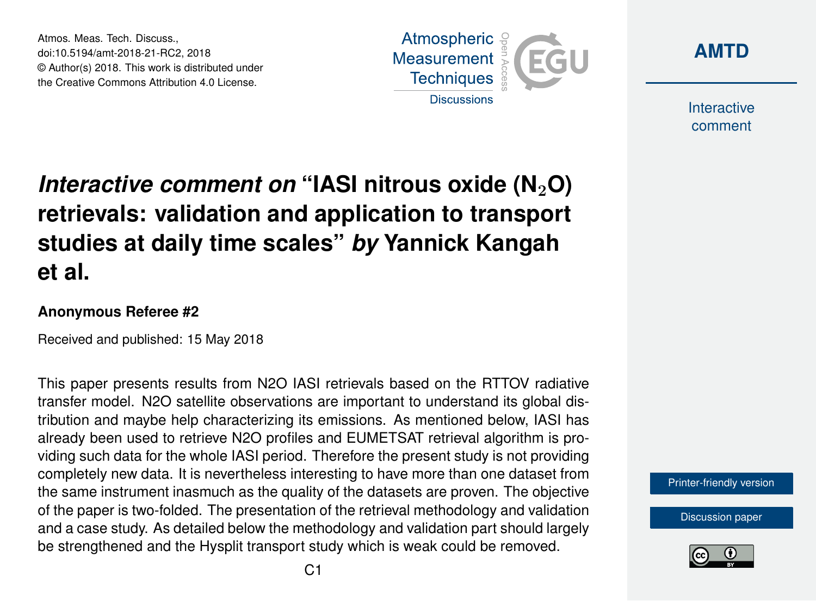Atmos. Meas. Tech. Discuss., doi:10.5194/amt-2018-21-RC2, 2018 © Author(s) 2018. This work is distributed under the Creative Commons Attribution 4.0 License.





**Interactive** comment

# *Interactive comment on "IASI nitrous oxide (N<sub>2</sub>O)* **retrievals: validation and application to transport studies at daily time scales"** *by* **Yannick Kangah et al.**

### **Anonymous Referee #2**

Received and published: 15 May 2018

This paper presents results from N2O IASI retrievals based on the RTTOV radiative transfer model. N2O satellite observations are important to understand its global distribution and maybe help characterizing its emissions. As mentioned below, IASI has already been used to retrieve N2O profiles and EUMETSAT retrieval algorithm is providing such data for the whole IASI period. Therefore the present study is not providing completely new data. It is nevertheless interesting to have more than one dataset from the same instrument inasmuch as the quality of the datasets are proven. The objective of the paper is two-folded. The presentation of the retrieval methodology and validation and a case study. As detailed below the methodology and validation part should largely be strengthened and the Hysplit transport study which is weak could be removed.

[Printer-friendly version](https://www.atmos-meas-tech-discuss.net/amt-2018-21/amt-2018-21-RC2-print.pdf)

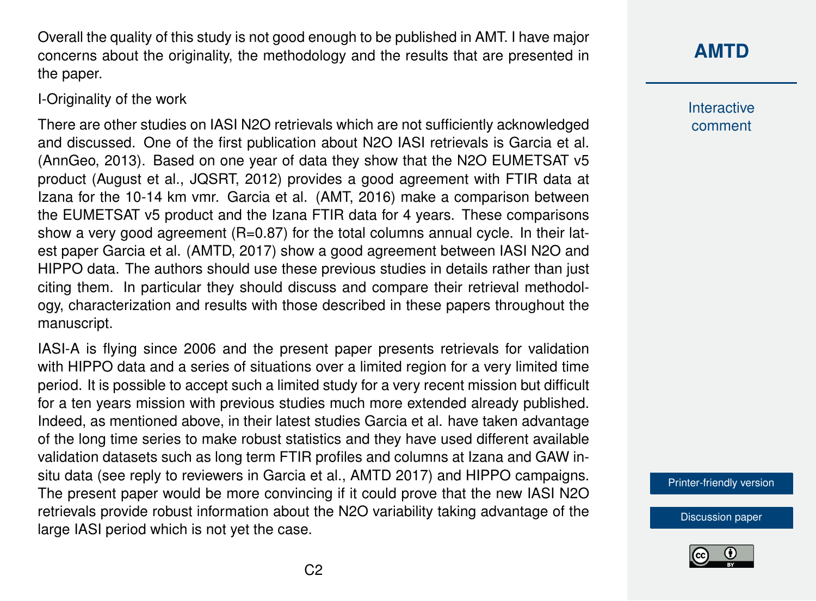Overall the quality of this study is not good enough to be published in AMT. I have major concerns about the originality, the methodology and the results that are presented in the paper.

### I-Originality of the work

There are other studies on IASI N2O retrievals which are not sufficiently acknowledged and discussed. One of the first publication about N2O IASI retrievals is Garcia et al. (AnnGeo, 2013). Based on one year of data they show that the N2O EUMETSAT v5 product (August et al., JQSRT, 2012) provides a good agreement with FTIR data at Izana for the 10-14 km vmr. Garcia et al. (AMT, 2016) make a comparison between the EUMETSAT v5 product and the Izana FTIR data for 4 years. These comparisons show a very good agreement (R=0.87) for the total columns annual cycle. In their latest paper Garcia et al. (AMTD, 2017) show a good agreement between IASI N2O and HIPPO data. The authors should use these previous studies in details rather than just citing them. In particular they should discuss and compare their retrieval methodology, characterization and results with those described in these papers throughout the manuscript.

IASI-A is flying since 2006 and the present paper presents retrievals for validation with HIPPO data and a series of situations over a limited region for a very limited time period. It is possible to accept such a limited study for a very recent mission but difficult for a ten years mission with previous studies much more extended already published. Indeed, as mentioned above, in their latest studies Garcia et al. have taken advantage of the long time series to make robust statistics and they have used different available validation datasets such as long term FTIR profiles and columns at Izana and GAW insitu data (see reply to reviewers in Garcia et al., AMTD 2017) and HIPPO campaigns. The present paper would be more convincing if it could prove that the new IASI N2O retrievals provide robust information about the N2O variability taking advantage of the large IASI period which is not yet the case.

**[AMTD](https://www.atmos-meas-tech-discuss.net/)**

**Interactive** comment

[Printer-friendly version](https://www.atmos-meas-tech-discuss.net/amt-2018-21/amt-2018-21-RC2-print.pdf)

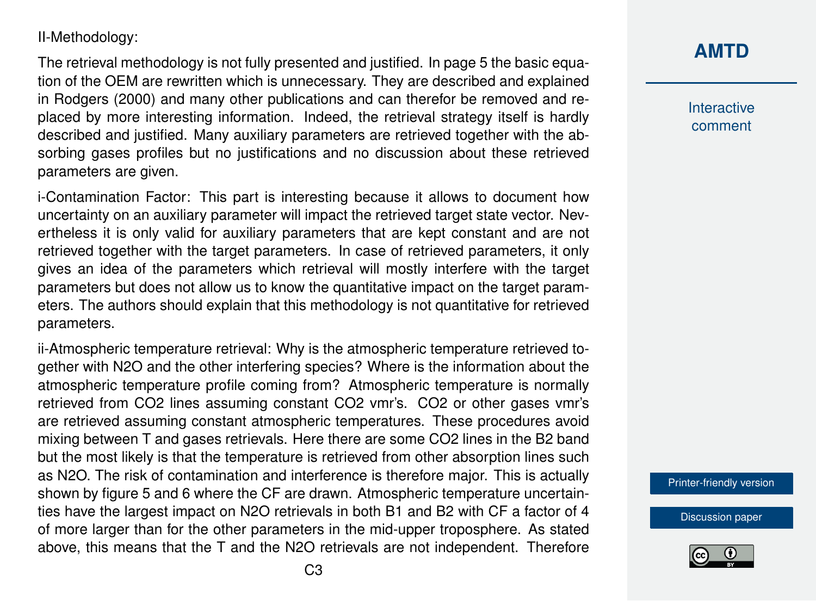### II-Methodology:

The retrieval methodology is not fully presented and justified. In page 5 the basic equation of the OEM are rewritten which is unnecessary. They are described and explained in Rodgers (2000) and many other publications and can therefor be removed and replaced by more interesting information. Indeed, the retrieval strategy itself is hardly described and justified. Many auxiliary parameters are retrieved together with the absorbing gases profiles but no justifications and no discussion about these retrieved parameters are given.

i-Contamination Factor: This part is interesting because it allows to document how uncertainty on an auxiliary parameter will impact the retrieved target state vector. Nevertheless it is only valid for auxiliary parameters that are kept constant and are not retrieved together with the target parameters. In case of retrieved parameters, it only gives an idea of the parameters which retrieval will mostly interfere with the target parameters but does not allow us to know the quantitative impact on the target parameters. The authors should explain that this methodology is not quantitative for retrieved parameters.

ii-Atmospheric temperature retrieval: Why is the atmospheric temperature retrieved together with N2O and the other interfering species? Where is the information about the atmospheric temperature profile coming from? Atmospheric temperature is normally retrieved from CO2 lines assuming constant CO2 vmr's. CO2 or other gases vmr's are retrieved assuming constant atmospheric temperatures. These procedures avoid mixing between T and gases retrievals. Here there are some CO2 lines in the B2 band but the most likely is that the temperature is retrieved from other absorption lines such as N2O. The risk of contamination and interference is therefore major. This is actually shown by figure 5 and 6 where the CF are drawn. Atmospheric temperature uncertainties have the largest impact on N2O retrievals in both B1 and B2 with CF a factor of 4 of more larger than for the other parameters in the mid-upper troposphere. As stated above, this means that the T and the N2O retrievals are not independent. Therefore

# **[AMTD](https://www.atmos-meas-tech-discuss.net/)**

Interactive comment

[Printer-friendly version](https://www.atmos-meas-tech-discuss.net/amt-2018-21/amt-2018-21-RC2-print.pdf)

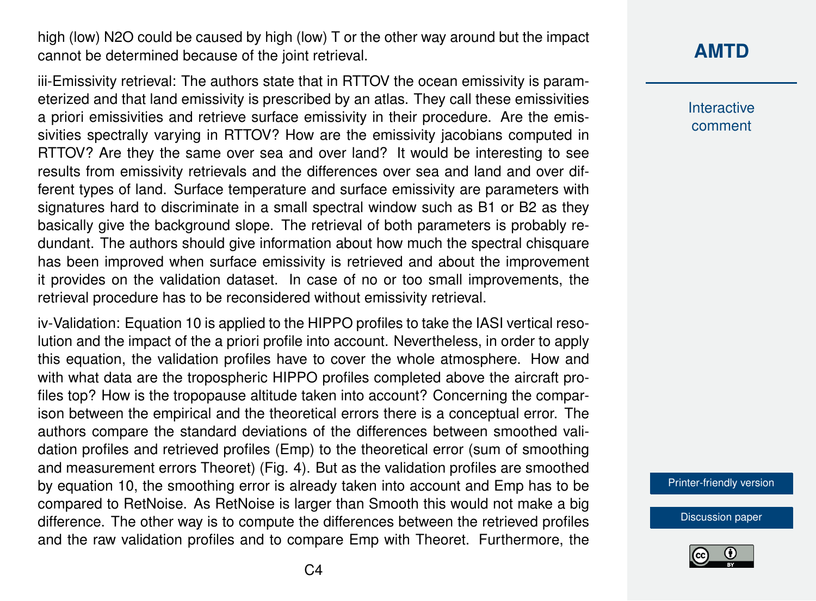high (low) N2O could be caused by high (low) T or the other way around but the impact cannot be determined because of the joint retrieval.

iii-Emissivity retrieval: The authors state that in RTTOV the ocean emissivity is parameterized and that land emissivity is prescribed by an atlas. They call these emissivities a priori emissivities and retrieve surface emissivity in their procedure. Are the emissivities spectrally varying in RTTOV? How are the emissivity jacobians computed in RTTOV? Are they the same over sea and over land? It would be interesting to see results from emissivity retrievals and the differences over sea and land and over different types of land. Surface temperature and surface emissivity are parameters with signatures hard to discriminate in a small spectral window such as B1 or B2 as they basically give the background slope. The retrieval of both parameters is probably redundant. The authors should give information about how much the spectral chisquare has been improved when surface emissivity is retrieved and about the improvement it provides on the validation dataset. In case of no or too small improvements, the retrieval procedure has to be reconsidered without emissivity retrieval.

iv-Validation: Equation 10 is applied to the HIPPO profiles to take the IASI vertical resolution and the impact of the a priori profile into account. Nevertheless, in order to apply this equation, the validation profiles have to cover the whole atmosphere. How and with what data are the tropospheric HIPPO profiles completed above the aircraft profiles top? How is the tropopause altitude taken into account? Concerning the comparison between the empirical and the theoretical errors there is a conceptual error. The authors compare the standard deviations of the differences between smoothed validation profiles and retrieved profiles (Emp) to the theoretical error (sum of smoothing and measurement errors Theoret) (Fig. 4). But as the validation profiles are smoothed by equation 10, the smoothing error is already taken into account and Emp has to be compared to RetNoise. As RetNoise is larger than Smooth this would not make a big difference. The other way is to compute the differences between the retrieved profiles and the raw validation profiles and to compare Emp with Theoret. Furthermore, the

# **[AMTD](https://www.atmos-meas-tech-discuss.net/)**

**Interactive** comment

[Printer-friendly version](https://www.atmos-meas-tech-discuss.net/amt-2018-21/amt-2018-21-RC2-print.pdf)

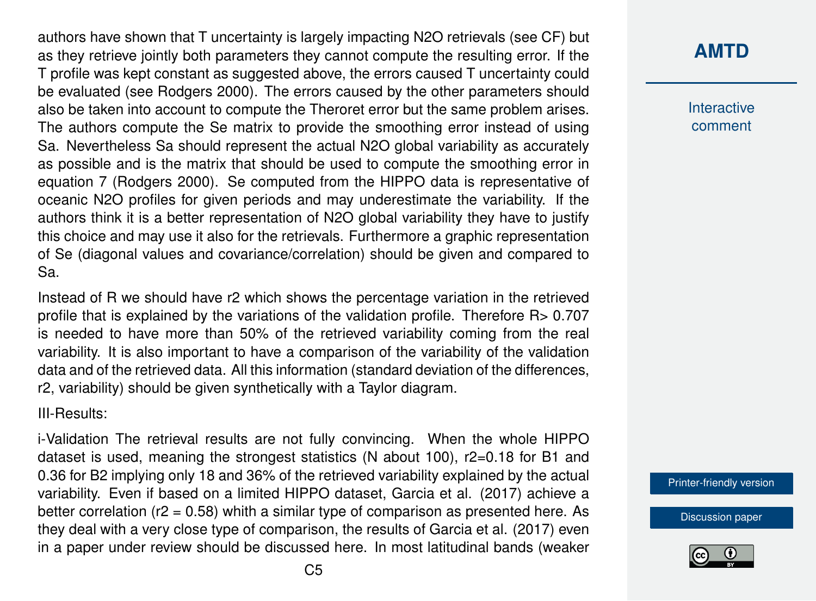authors have shown that T uncertainty is largely impacting N2O retrievals (see CF) but as they retrieve jointly both parameters they cannot compute the resulting error. If the T profile was kept constant as suggested above, the errors caused T uncertainty could be evaluated (see Rodgers 2000). The errors caused by the other parameters should also be taken into account to compute the Theroret error but the same problem arises. The authors compute the Se matrix to provide the smoothing error instead of using Sa. Nevertheless Sa should represent the actual N2O global variability as accurately as possible and is the matrix that should be used to compute the smoothing error in equation 7 (Rodgers 2000). Se computed from the HIPPO data is representative of oceanic N2O profiles for given periods and may underestimate the variability. If the authors think it is a better representation of N2O global variability they have to justify this choice and may use it also for the retrievals. Furthermore a graphic representation of Se (diagonal values and covariance/correlation) should be given and compared to Sa.

Instead of R we should have r2 which shows the percentage variation in the retrieved profile that is explained by the variations of the validation profile. Therefore R> 0.707 is needed to have more than 50% of the retrieved variability coming from the real variability. It is also important to have a comparison of the variability of the validation data and of the retrieved data. All this information (standard deviation of the differences, r2, variability) should be given synthetically with a Taylor diagram.

#### III-Results:

i-Validation The retrieval results are not fully convincing. When the whole HIPPO dataset is used, meaning the strongest statistics (N about 100), r2=0.18 for B1 and 0.36 for B2 implying only 18 and 36% of the retrieved variability explained by the actual variability. Even if based on a limited HIPPO dataset, Garcia et al. (2017) achieve a better correlation ( $r2 = 0.58$ ) whith a similar type of comparison as presented here. As they deal with a very close type of comparison, the results of Garcia et al. (2017) even in a paper under review should be discussed here. In most latitudinal bands (weaker

# **[AMTD](https://www.atmos-meas-tech-discuss.net/)**

**Interactive** comment

[Printer-friendly version](https://www.atmos-meas-tech-discuss.net/amt-2018-21/amt-2018-21-RC2-print.pdf)

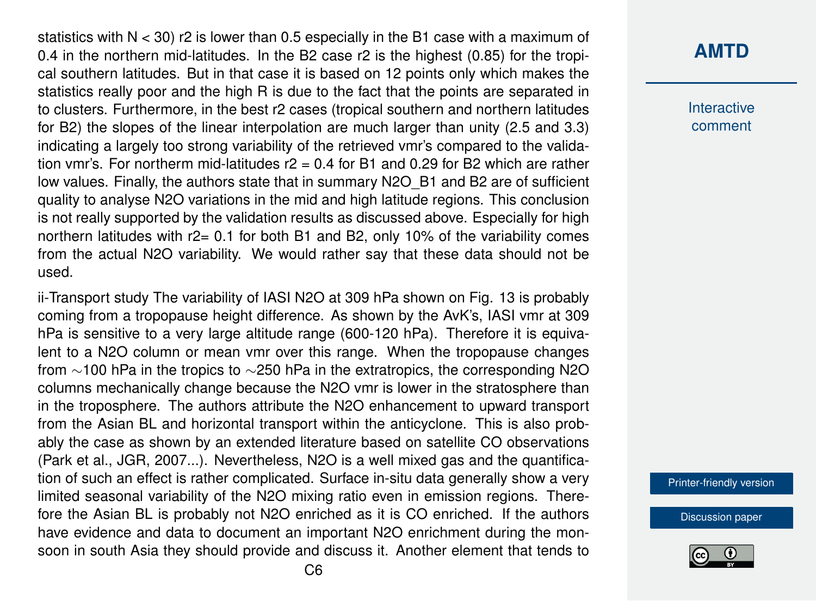statistics with  $N < 30$ ) r2 is lower than 0.5 especially in the B1 case with a maximum of 0.4 in the northern mid-latitudes. In the B2 case r2 is the highest (0.85) for the tropical southern latitudes. But in that case it is based on 12 points only which makes the statistics really poor and the high R is due to the fact that the points are separated in to clusters. Furthermore, in the best r2 cases (tropical southern and northern latitudes for B2) the slopes of the linear interpolation are much larger than unity (2.5 and 3.3) indicating a largely too strong variability of the retrieved vmr's compared to the validation vmr's. For northerm mid-latitudes  $r^2 = 0.4$  for B1 and 0.29 for B2 which are rather low values. Finally, the authors state that in summary N2O\_B1 and B2 are of sufficient quality to analyse N2O variations in the mid and high latitude regions. This conclusion is not really supported by the validation results as discussed above. Especially for high northern latitudes with  $r2 = 0.1$  for both B1 and B2, only 10% of the variability comes from the actual N2O variability. We would rather say that these data should not be used.

ii-Transport study The variability of IASI N2O at 309 hPa shown on Fig. 13 is probably coming from a tropopause height difference. As shown by the AvK's, IASI vmr at 309 hPa is sensitive to a very large altitude range (600-120 hPa). Therefore it is equivalent to a N2O column or mean vmr over this range. When the tropopause changes from ∼100 hPa in the tropics to ∼250 hPa in the extratropics, the corresponding N2O columns mechanically change because the N2O vmr is lower in the stratosphere than in the troposphere. The authors attribute the N2O enhancement to upward transport from the Asian BL and horizontal transport within the anticyclone. This is also probably the case as shown by an extended literature based on satellite CO observations (Park et al., JGR, 2007...). Nevertheless, N2O is a well mixed gas and the quantification of such an effect is rather complicated. Surface in-situ data generally show a very limited seasonal variability of the N2O mixing ratio even in emission regions. Therefore the Asian BL is probably not N2O enriched as it is CO enriched. If the authors have evidence and data to document an important N2O enrichment during the monsoon in south Asia they should provide and discuss it. Another element that tends to

### **[AMTD](https://www.atmos-meas-tech-discuss.net/)**

**Interactive** comment

[Printer-friendly version](https://www.atmos-meas-tech-discuss.net/amt-2018-21/amt-2018-21-RC2-print.pdf)

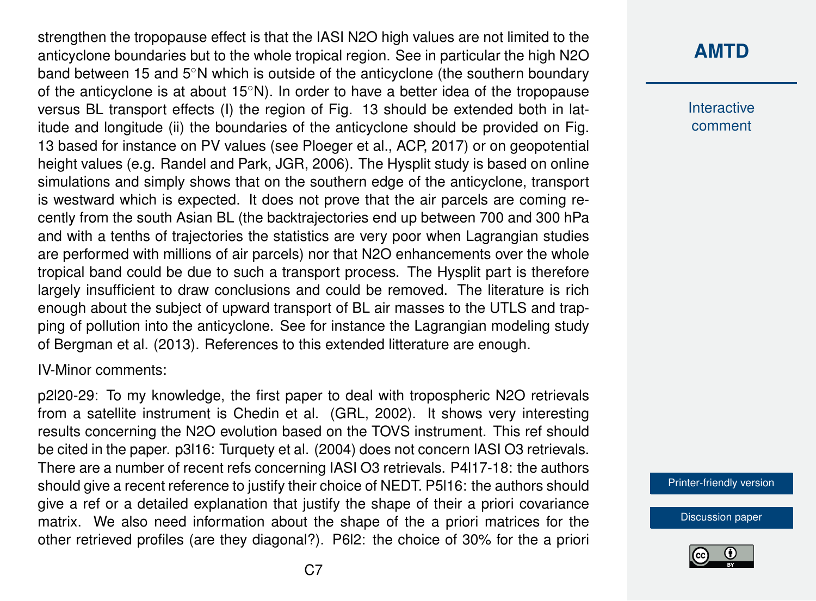strengthen the tropopause effect is that the IASI N2O high values are not limited to the anticyclone boundaries but to the whole tropical region. See in particular the high N2O band between 15 and 5◦N which is outside of the anticyclone (the southern boundary of the anticyclone is at about 15◦N). In order to have a better idea of the tropopause versus BL transport effects (I) the region of Fig. 13 should be extended both in latitude and longitude (ii) the boundaries of the anticyclone should be provided on Fig. 13 based for instance on PV values (see Ploeger et al., ACP, 2017) or on geopotential height values (e.g. Randel and Park, JGR, 2006). The Hysplit study is based on online simulations and simply shows that on the southern edge of the anticyclone, transport is westward which is expected. It does not prove that the air parcels are coming recently from the south Asian BL (the backtrajectories end up between 700 and 300 hPa and with a tenths of trajectories the statistics are very poor when Lagrangian studies are performed with millions of air parcels) nor that N2O enhancements over the whole tropical band could be due to such a transport process. The Hysplit part is therefore largely insufficient to draw conclusions and could be removed. The literature is rich enough about the subject of upward transport of BL air masses to the UTLS and trapping of pollution into the anticyclone. See for instance the Lagrangian modeling study of Bergman et al. (2013). References to this extended litterature are enough.

IV-Minor comments:

p2l20-29: To my knowledge, the first paper to deal with tropospheric N2O retrievals from a satellite instrument is Chedin et al. (GRL, 2002). It shows very interesting results concerning the N2O evolution based on the TOVS instrument. This ref should be cited in the paper. p3l16: Turquety et al. (2004) does not concern IASI O3 retrievals. There are a number of recent refs concerning IASI O3 retrievals. P4l17-18: the authors should give a recent reference to justify their choice of NEDT. P5l16: the authors should give a ref or a detailed explanation that justify the shape of their a priori covariance matrix. We also need information about the shape of the a priori matrices for the other retrieved profiles (are they diagonal?). P6l2: the choice of 30% for the a priori

# **[AMTD](https://www.atmos-meas-tech-discuss.net/)**

**Interactive** comment

[Printer-friendly version](https://www.atmos-meas-tech-discuss.net/amt-2018-21/amt-2018-21-RC2-print.pdf)